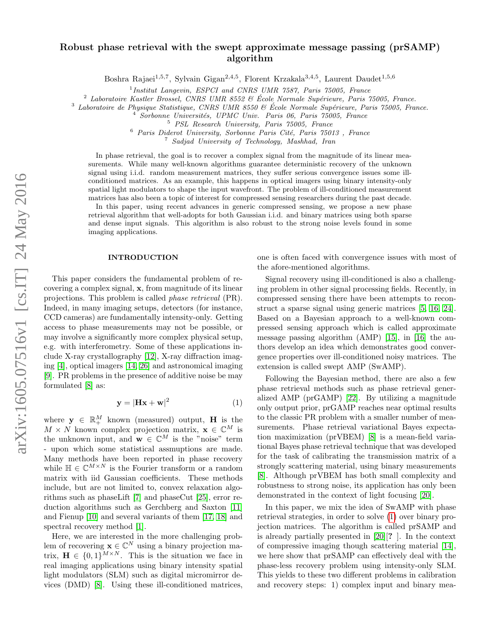# arXiv:1605.07516v1 [cs.IT] 24 May 2016 arXiv:1605.07516v1 [cs.IT] 24 May 2016

# Robust phase retrieval with the swept approximate message passing (prSAMP) algorithm

Boshra Rajaei<sup>1,5,7</sup>, Sylvain Gigan<sup>2,4,5</sup>, Florent Krzakala<sup>3,4,5</sup>, Laurent Daudet<sup>1,5,6</sup>

<sup>1</sup> Institut Langevin, ESPCI and CNRS UMR 7587, Paris 75005, France

<sup>2</sup> Laboratoire Kastler Brossel, CNRS UMR 8552  $\&$  École Normale Supérieure, Paris 75005, France.

 $3$  Laboratoire de Physique Statistique, CNRS UMR 8550  $\&$  École Normale Supérieure, Paris 75005, France.

 $^{4}$  Sorbonne Universités, UPMC Univ. Paris 06, Paris 75005, France

 $6$  Paris Diderot University, Sorbonne Paris Cité, Paris 75013, France

<sup>7</sup> Sadjad University of Technology, Mashhad, Iran

In phase retrieval, the goal is to recover a complex signal from the magnitude of its linear measurements. While many well-known algorithms guarantee deterministic recovery of the unknown signal using i.i.d. random measurement matrices, they suffer serious convergence issues some illconditioned matrices. As an example, this happens in optical imagers using binary intensity-only spatial light modulators to shape the input wavefront. The problem of ill-conditioned measurement matrices has also been a topic of interest for compressed sensing researchers during the past decade.

In this paper, using recent advances in generic compressed sensing, we propose a new phase retrieval algorithm that well-adopts for both Gaussian i.i.d. and binary matrices using both sparse and dense input signals. This algorithm is also robust to the strong noise levels found in some imaging applications.

# INTRODUCTION

This paper considers the fundamental problem of recovering a complex signal, x, from magnitude of its linear projections. This problem is called phase retrieval (PR). Indeed, in many imaging setups, detectors (for instance, CCD cameras) are fundamentally intensity-only. Getting access to phase measurements may not be possible, or may involve a significantly more complex physical setup, e.g. with interferometry. Some of these applications include X-ray crystallography [\[12\]](#page-8-0), X-ray diffraction imaging [\[4\]](#page-8-1), optical imagers [\[14,](#page-8-2) [26\]](#page-8-3) and astronomical imaging [\[9\]](#page-8-4). PR problems in the presence of additive noise be may formulated [\[8\]](#page-8-5) as:

<span id="page-0-0"></span>
$$
\mathbf{y} = |\mathbf{H}\mathbf{x} + \mathbf{w}|^2 \tag{1}
$$

where  $\mathbf{y} \in \mathbb{R}_+^M$  known (measured) output, **H** is the  $M \times N$  known complex projection matrix,  $\mathbf{x} \in \mathbb{C}^M$  is the unknown input, and  $\mathbf{w} \in \mathbb{C}^{M}$  is the "noise" term - upon which some statistical assmuptions are made. Many methods have been reported in phase recovery while  $\mathbb{H} \in \mathbb{C}^{M \times N}$  is the Fourier transform or a random matrix with iid Gaussian coefficients. These methods include, but are not limited to, convex relaxation algorithms such as phaseLift [\[7\]](#page-8-6) and phaseCut [\[25\]](#page-8-7), error reduction algorithms such as Gerchberg and Saxton [\[11\]](#page-8-8) and Fienup [\[10\]](#page-8-9) and several variants of them [\[17,](#page-8-10) [18\]](#page-8-11) and spectral recovery method [\[1\]](#page-8-12).

Here, we are interested in the more challenging problem of recovering  $\mathbf{x} \in \mathbb{C}^N$  using a binary projection matrix,  $\mathbf{H} \in \{0,1\}^{M \times N}$ . This is the situation we face in real imaging applications using binary intensity spatial light modulators (SLM) such as digital micromirror devices (DMD) [\[8\]](#page-8-5). Using these ill-conditioned matrices, one is often faced with convergence issues with most of the afore-mentioned algorithms.

Signal recovery using ill-conditioned is also a challenging problem in other signal processing fields. Recently, in compressed sensing there have been attempts to reconstruct a sparse signal using generic matrices [\[5,](#page-8-13) [16,](#page-8-14) [24\]](#page-8-15). Based on a Bayesian approach to a well-known compressed sensing approach which is called approximate message passing algorithm (AMP) [\[15\]](#page-8-16), in [\[16\]](#page-8-14) the authors develop an idea which demonstrates good convergence properties over ill-conditioned noisy matrices. The extension is called swept AMP (SwAMP).

Following the Bayesian method, there are also a few phase retrieval methods such as phase retrieval generalized AMP (prGAMP) [\[22\]](#page-8-17). By utilizing a magnitude only output prior, prGAMP reaches near optimal results to the classic PR problem with a smaller number of measurements. Phase retrieval variational Bayes expectation maximization (prVBEM) [\[8\]](#page-8-5) is a mean-field variational Bayes phase retrieval technique that was developed for the task of calibrating the transmission matrix of a strongly scattering material, using binary measurements [\[8\]](#page-8-5). Although prVBEM has both small complexity and robustness to strong noise, its application has only been demonstrated in the context of light focusing [\[20\]](#page-8-18).

In this paper, we mix the idea of SwAMP with phase retrieval strategies, in order to solve [\(1\)](#page-0-0) over binary projection matrices. The algorithm is called prSAMP and is already partially presented in [\[20\]](#page-8-18)[? ]. In the context of compressive imaging though scattering material [\[14\]](#page-8-2), we here show that prSAMP can effectively deal with the phase-less recovery problem using intensity-only SLM. This yields to these two different problems in calibration and recovery steps: 1) complex input and binary mea-

<sup>5</sup> PSL Research University, Paris 75005, France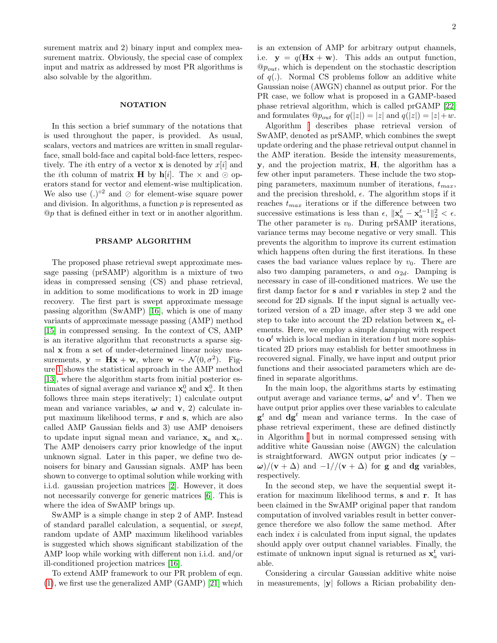surement matrix and 2) binary input and complex measurement matrix. Obviously, the special case of complex input and matrix as addressed by most PR algorithms is also solvable by the algorithm.

### **NOTATION**

In this section a brief summary of the notations that is used throughout the paper, is provided. As usual, scalars, vectors and matrices are written in small regularface, small bold-face and capital bold-face letters, respectively. The *i*th entry of a vector **x** is denoted by  $x[i]$  and the *i*th column of matrix **H** by  $h[i]$ . The  $\times$  and  $\odot$  operators stand for vector and element-wise multiplication. We also use  $(.)^{\circ 2}$  and  $\oslash$  for element-wise square power and division. In algorithms, a function  $p$  is represented as @p that is defined either in text or in another algorithm.

# PRSAMP ALGORITHM

The proposed phase retrieval swept approximate message passing (prSAMP) algorithm is a mixture of two ideas in compressed sensing (CS) and phase retrieval, in addition to some modifications to work in 2D image recovery. The first part is swept approximate message passing algorithm (SwAMP) [\[16\]](#page-8-14), which is one of many variants of approximate message passing (AMP) method [\[15\]](#page-8-16) in compressed sensing. In the context of CS, AMP is an iterative algorithm that reconstructs a sparse signal x from a set of under-determined linear noisy measurements,  $y = Hx + w$ , where  $w \sim \mathcal{N}(0, \sigma^2)$ . Figure [1](#page-2-0) shows the statistical approach in the AMP method [\[13\]](#page-8-19), where the algorithm starts from initial posterior estimates of signal average and variance  $\mathbf{x}_a^0$  and  $\mathbf{x}_v^0$ . It then follows three main steps iteratively; 1) calculate output mean and variance variables,  $\omega$  and v, 2) calculate input maximum likelihood terms, r and s, which are also called AMP Gaussian fields and 3) use AMP denoisers to update input signal mean and variance,  $x_a$  and  $x_v$ . The AMP denoisers carry prior knowledge of the input unknown signal. Later in this paper, we define two denoisers for binary and Gaussian signals. AMP has been shown to converge to optimal solution while working with i.i.d. gaussian projection matrices [\[2\]](#page-8-20). However, it does not necessarily converge for generic matrices [\[6\]](#page-8-21). This is where the idea of SwAMP brings up.

SwAMP is a simple change in step 2 of AMP. Instead of standard parallel calculation, a sequential, or swept, random update of AMP maximum likelihood variables is suggested which shows significant stabilization of the AMP loop while working with different non i.i.d. and/or ill-conditioned projection matrices [\[16\]](#page-8-14).

To extend AMP framework to our PR problem of eqn. [\(1\)](#page-0-0), we first use the generalized AMP (GAMP) [\[21\]](#page-8-22) which is an extension of AMP for arbitrary output channels, i.e.  $y = q(Hx + w)$ . This adds an output function,  $@p_{out}$ , which is dependent on the stochastic description of  $q(.)$ . Normal CS problems follow an additive white Gaussian noise (AWGN) channel as output prior. For the PR case, we follow what is proposed in a GAMP-based phase retrieval algorithm, which is called prGAMP [\[22\]](#page-8-17) and formulates  $@p_{out}$  for  $q(|z|) = |z|$  and  $q(|z|) = |z| + w$ .

Algorithm describes phase retrieval version of SwAMP, denoted as prSAMP, which combines the swept update ordering and the phase retrieval output channel in the AMP iteration. Beside the intensity measurements, y, and the projection matrix, H, the algorithm has a few other input parameters. These include the two stopping parameters, maximum number of iterations,  $t_{max}$ , and the precision threshold,  $\epsilon$ . The algorithm stops if it reaches  $t_{max}$  iterations or if the difference between two successive estimations is less than  $\epsilon$ ,  $\|\mathbf{x}_a^t - \mathbf{x}_a^{t-1}\|_2^2 < \epsilon$ . The other parameter is  $v_0$ . During prSAMP iterations, variance terms may become negative or very small. This prevents the algorithm to improve its current estimation which happens often during the first iterations. In these cases the bad variance values replace by  $v_0$ . There are also two damping parameters,  $\alpha$  and  $\alpha_{2d}$ . Damping is necessary in case of ill-conditioned matrices. We use the first damp factor for s and r variables in step 2 and the second for 2D signals. If the input signal is actually vectorized version of a 2D image, after step 3 we add one step to take into account the 2D relation between  $x_a$  elements. Here, we employ a simple damping with respect to  $o<sup>t</sup>$  which is local median in iteration t but more sophisticated 2D priors may establish for better smoothness in recovered signal. Finally, we have input and output prior functions and their associated parameters which are defined in separate algorithms.

In the main loop, the algorithms starts by estimating output average and variance terms,  $\boldsymbol{\omega}^t$  and  $\mathbf{v}^t$ . Then we have output prior applies over these variables to calculate  $\mathbf{g}^t$  and  $\mathbf{dg}^t$  mean and variance terms. In the case of phase retrieval experiment, these are defined distinctly in Algorithm but in normal compressed sensing with additive white Gaussian noise (AWGN) the calculation is straightforward. AWGN output prior indicates ( $y \omega$ /(v +  $\Delta$ ) and  $-1$ //(v +  $\Delta$ ) for g and dg variables, respectively.

In the second step, we have the sequential swept iteration for maximum likelihood terms, s and r. It has been claimed in the SwAMP original paper that random computation of involved variables result in better convergence therefore we also follow the same method. After each index  $i$  is calculated from input signal, the updates should apply over output channel variables. Finally, the estimate of unknown input signal is returned as  $\mathbf{x}_a^t$  variable.

Considering a circular Gaussian additive white noise in measurements, |y| follows a Rician probability den-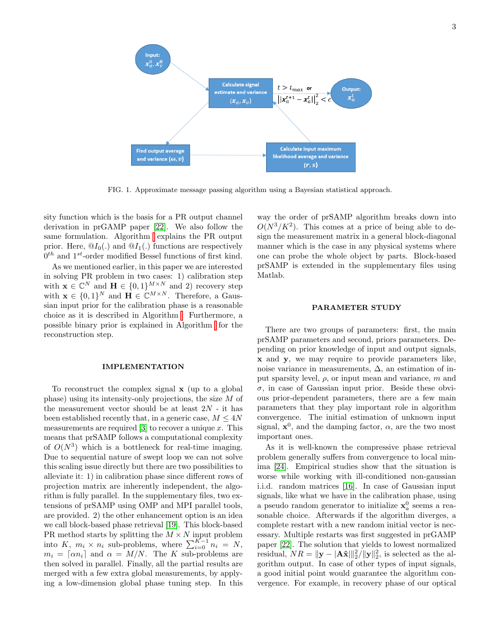

<span id="page-2-0"></span>FIG. 1. Approximate message passing algorithm using a Bayesian statistical approach.

sity function which is the basis for a PR output channel derivation in prGAMP paper [\[22\]](#page-8-17). We also follow the same formulation. Algorithm explains the PR output prior. Here,  $\mathcal{Q}I_0(.)$  and  $\mathcal{Q}I_1(.)$  functions are respectively  $0<sup>th</sup>$  and  $1<sup>st</sup>$ -order modified Bessel functions of first kind.

As we mentioned earlier, in this paper we are interested in solving PR problem in two cases: 1) calibration step with  $\mathbf{x} \in \mathbb{C}^N$  and  $\mathbf{H} \in \{0,1\}^{M \times N}$  and 2) recovery step with  $\mathbf{x} \in \{0,1\}^N$  and  $\mathbf{H} \in \mathbb{C}^{M \times N}$ . Therefore, a Gaussian input prior for the calibration phase is a reasonable choice as it is described in Algorithm [.](#page-2-0) Furthermore, a possible binary prior is explained in Algorithm for the reconstruction step.

# IMPLEMENTATION

To reconstruct the complex signal x (up to a global phase) using its intensity-only projections, the size M of the measurement vector should be at least  $2N - it$  has been established recently that, in a generic case,  $M \leq 4N$ measurements are required  $[3]$  to recover a unique x. This means that prSAMP follows a computational complexity of  $O(N^3)$  which is a bottleneck for real-time imaging. Due to sequential nature of swept loop we can not solve this scaling issue directly but there are two possibilities to alleviate it: 1) in calibration phase since different rows of projection matrix are inherently independent, the algorithm is fully parallel. In the supplementary files, two extensions of prSAMP using OMP and MPI parallel tools, are provided. 2) the other enhancement option is an idea we call block-based phase retrieval [\[19\]](#page-8-24). This block-based PR method starts by splitting the  $M \times N$  input problem into K,  $m_i \times n_i$  sub-problems, where  $\sum_{i=0}^{K-1} n_i = N$ ,  $m_i = \lceil \alpha n_i \rceil$  and  $\alpha = M/N$ . The K sub-problems are then solved in parallel. Finally, all the partial results are merged with a few extra global measurements, by applying a low-dimension global phase tuning step. In this

way the order of prSAMP algorithm breaks down into  $O(N^3/K^2)$ . This comes at a price of being able to design the measurement matrix in a general block-diagonal manner which is the case in any physical systems where one can probe the whole object by parts. Block-based prSAMP is extended in the supplementary files using Matlab.

### PARAMETER STUDY

There are two groups of parameters: first, the main prSAMP parameters and second, priors parameters. Depending on prior knowledge of input and output signals, x and y, we may require to provide parameters like, noise variance in measurements,  $\Delta$ , an estimation of input sparsity level,  $\rho$ , or input mean and variance, m and  $\sigma$ , in case of Gaussian input prior. Beside these obvious prior-dependent parameters, there are a few main parameters that they play important role in algorithm convergence. The initial estimation of unknown input signal,  $\mathbf{x}^0$ , and the damping factor,  $\alpha$ , are the two most important ones.

As it is well-known the compressive phase retrieval problem generally suffers from convergence to local minima [\[24\]](#page-8-15). Empirical studies show that the situation is worse while working with ill-conditioned non-gaussian i.i.d. random matrices [\[16\]](#page-8-14). In case of Gaussian input signals, like what we have in the calibration phase, using a pseudo random generator to initialize  $x_a^0$  seems a reasonable choice. Afterwards if the algorithm diverges, a complete restart with a new random initial vector is necessary. Multiple restarts was first suggested in prGAMP paper [\[22\]](#page-8-17). The solution that yields to lowest normalized residual,  $NR = ||\mathbf{y} - |\mathbf{A}\hat{\mathbf{x}}||_2^2/||\mathbf{y}||_2^2$ , is selected as the algorithm output. In case of other types of input signals, a good initial point would guarantee the algorithm convergence. For example, in recovery phase of our optical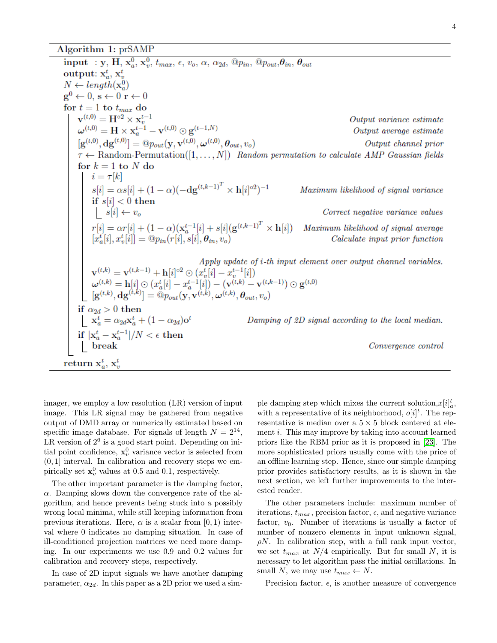Algorithm 1: prSAMP

input : y, H,  $x_a^0$ ,  $x_v^0$ ,  $t_{max}$ ,  $\epsilon$ ,  $v_o$ ,  $\alpha$ ,  $\alpha_{2d}$ ,  $\mathbb{Q}p_{in}$ ,  $\mathbb{Q}p_{out}$ ,  $\theta_{in}$ ,  $\theta_{out}$ output:  $x_a^t$ ,  $x_v^t$  $N \leftarrow length(\mathbf{x}_a^0)$  $\mathbf{g}^0 \leftarrow 0, \, \mathbf{s} \leftarrow 0 \, \mathbf{r} \leftarrow 0$ for  $t = 1$  to  $t_{max}$  do  $\mathbf{v}^{(t,0)} = \mathbf{H}^{\circ 2} \times \mathbf{x}_v^{t-1}$ <br>  $\boldsymbol{\omega}^{(t,0)} = \mathbf{H} \times \mathbf{x}_a^{t-1} - \mathbf{v}^{(t,0)} \odot \mathbf{g}^{(t-1,N)}$ Output variance estimate Output average estimate  $[g^{(t,0)},dg^{(t,0)}] = \mathbb{Q}_{\text{Pout}}(\mathbf{y},\mathbf{v}^{(t,0)},\boldsymbol{\omega}^{(t,0)},\boldsymbol{\theta}_{\text{out}},v_o)$ Output channel prior  $\tau \leftarrow$  Random-Permutation([1,..., N]) Random permutation to calculate AMP Gaussian fields for  $k = 1$  to N do  $i = \tau[k]$  $i = \tau[k]$ <br>  $s[i] = \alpha s[i] + (1 - \alpha)(-\text{dg}^{(t,k-1)^T} \times \text{h}[i]^{\circ 2})^{-1}$ <br>
if  $s[i] < 0$  then<br>  $\begin{bmatrix} s[i] \leftarrow v_o \end{bmatrix}$ Maximum likelihood of signal variance Correct negative variance values  $r[i] = \alpha r[i] + (1 - \alpha)(\mathbf{x}_a^{t-1}[i] + s[i](\mathbf{g}^{(t,k-1)^T} \times \mathbf{h}[i])$  Maximum likelihood of signal average  $[x_a^t[i], x_v^t[i]] = \mathbb{Q}p_{in}(r[i], s[i], \theta_{in}, v_o)$  Calculate input prior function Apply update of *i*-th input element over output channel variables.  $\begin{array}{c} \mathbf{Apply \textit{update of 1-th input element}} \\ \mathbf{v}^{(t,k)} = \mathbf{v}^{(t,k-1)} + \mathbf{h}[i]^{\circ 2} \odot (x_v^t[i] - x_v^{t-1}[i]) \\ \boldsymbol{\omega}^{(t,k)} = \mathbf{h}[i] \odot (x_a^t[i] - x_a^{t-1}[i]) - (\mathbf{v}^{(t,k)} - \mathbf{v}^{(t,k-1)}) \odot \mathbf{g}^{(t,0)} \\ \left[\mathbf{g}^{(t,k)}, \mathbf{dg}^{(t,k)}\right] = @p_{out}(\mathbf{y}, \mathbf{v}^{(t,k)}, \$ if  $\alpha_{2d} > 0$  then<br>  $\begin{array}{c} \begin{array}{c} \text{if } \alpha_{2d} > 0 \text{ then} \\ \begin{array}{c} \text{if } \mathbf{x}_a^t = \alpha_{2d} \mathbf{x}_a^t + (1 - \alpha_{2d}) \mathbf{o}^t \end{array} \\ \text{if } |\mathbf{x}_a^t - \mathbf{x}_a^{t-1}|/N < \epsilon \text{ then} \\ \begin{array}{c} \text{break} \end{array} \end{array}$ Damping of 2D signal according to the local median. Convergence control return  $x_a^t$ ,  $x_v^t$ 

imager, we employ a low resolution (LR) version of input image. This LR signal may be gathered from negative output of DMD array or numerically estimated based on specific image database. For signals of length  $N = 2^{14}$ , LR version of  $2^6$  is a good start point. Depending on initial point confidence,  $\mathbf{x}_v^0$  variance vector is selected from  $(0, 1]$  interval. In calibration and recovery steps we empirically set  $\mathbf{x}_v^0$  values at 0.5 and 0.1, respectively.

The other important parameter is the damping factor,  $\alpha$ . Damping slows down the convergence rate of the algorithm, and hence prevents being stuck into a possibly wrong local minima, while still keeping information from previous iterations. Here,  $\alpha$  is a scalar from [0, 1) interval where 0 indicates no damping situation. In case of ill-conditioned projection matrices we need more damping. In our experiments we use 0.9 and 0.2 values for calibration and recovery steps, respectively.

In case of 2D input signals we have another damping parameter,  $\alpha_{2d}$ . In this paper as a 2D prior we used a sim-

ple damping step which mixes the current solution,  $x[i]_a^t$ , with a representative of its neighborhood,  $o[i]^t$ . The representative is median over a  $5 \times 5$  block centered at element i. This may improve by taking into account learned priors like the RBM prior as it is proposed in [\[23\]](#page-8-25). The more sophisticated priors usually come with the price of an offline learning step. Hence, since our simple damping prior provides satisfactory results, as it is shown in the next section, we left further improvements to the interested reader.

The other parameters include: maximum number of iterations,  $t_{max}$ , precision factor,  $\epsilon$ , and negative variance factor,  $v_0$ . Number of iterations is usually a factor of number of nonzero elements in input unknown signal,  $\rho N$ . In calibration step, with a full rank input vector, we set  $t_{max}$  at  $N/4$  empirically. But for small N, it is necessary to let algorithm pass the initial oscillations. In small N, we may use  $t_{max} \leftarrow N$ .

Precision factor,  $\epsilon$ , is another measure of convergence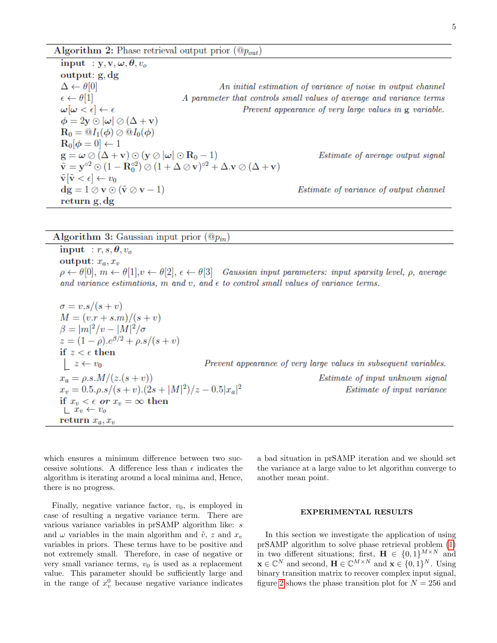Algorithm 2: Phase retrieval output prior  $(\mathbb{Q}_{p_{out}})$ 

input :  $y, v, \omega, \theta, v_o$  $output: g, dg$  $\Delta \leftarrow \theta[0]$ An initial estimation of variance of noise in output channel  $\epsilon \leftarrow \theta[1]$ A parameter that controls small values of average and variance terms  $\omega[\omega < \epsilon] \leftarrow \epsilon$ Prevent appearance of very large values in g variable.  $\phi = 2y \odot |\omega| \oslash (\Delta + v)$  $\mathbf{R}_0 = \mathbf{Q} I_1(\boldsymbol{\phi}) \oslash \mathbf{Q} I_0(\boldsymbol{\phi})$  $R_0[\phi=0] \leftarrow 1$  $\mathbf{g} = \boldsymbol{\omega} \oslash (\Delta + \mathbf{v}) \odot (\mathbf{y} \oslash |\boldsymbol{\omega}| \odot \mathbf{R}_0 - 1)$ Estimate of average output signal  $\tilde{\mathbf{v}} = \mathbf{y}^{\circ 2} \odot (1 - \mathbf{R}_0^{\circ 2}) \oslash (1 + \Delta \oslash \mathbf{v})^{\circ 2} + \Delta \mathbf{v} \oslash (\Delta + \mathbf{v})$  $\tilde{\mathbf{v}}[\tilde{\mathbf{v}} < \epsilon] \leftarrow v_0$  $dg = 1 \oslash v \odot (\tilde{v} \oslash v - 1)$ *Estimate of variance of output channel* return g, dg

Algorithm 3: Gaussian input prior  $(\mathbb{Q}_{p_{in}})$ 

input :  $r, s, \theta, v_o$ output:  $x_a, x_v$  $\rho \leftarrow \theta[0], m \leftarrow \theta[1], v \leftarrow \theta[2], \epsilon \leftarrow \theta[3]$  Gaussian input parameters: input sparsity level,  $\rho$ , average and variance estimations, m and v, and  $\epsilon$  to control small values of variance terms.

$$
\sigma = v.s/(s+v)
$$
  
\n
$$
M = (v.r + s.m)/(s + v)
$$
  
\n
$$
\beta = |m|^2/v - |M|^2/\sigma
$$
  
\n
$$
z = (1 - \rho).e^{\beta/2} + \rho.s/(s + v)
$$
  
\nif  $z < \epsilon$  then  
\n
$$
z \leftarrow v_0
$$
 *Prevent appearance of very large values in subsequent variables.*  
\n
$$
x_a = \rho.s.M/(z.(s + v))
$$
 *Estimate of input unknown signal*  
\n
$$
x_v = 0.5.\rho.s/(s + v).(2s + |M|^2)/z - 0.5|x_a|^2
$$
 *Estimate of input variance*  
\nif  $x_v < \epsilon$  or  $x_v = \infty$  then  
\n
$$
z_v \leftarrow v_0
$$
  
\nreturn  $x_a, x_v$ 

which ensures a minimum difference between two successive solutions. A difference less than  $\epsilon$  indicates the algorithm is iterating around a local minima and, Hence, there is no progress.

Finally, negative variance factor,  $v_0$ , is employed in case of resulting a negative variance term. There are various variance variables in prSAMP algorithm like: s and  $\omega$  variables in the main algorithm and  $\tilde{v}$ , z and  $x_v$ variables in priors. These terms have to be positive and not extremely small. Therefore, in case of negative or very small variance terms,  $v_0$  is used as a replacement value. This parameter should be sufficiently large and in the range of  $x_v^0$  because negative variance indicates

a bad situation in prSAMP iteration and we should set the variance at a large value to let algorithm converge to another mean point.

### EXPERIMENTAL RESULTS

In this section we investigate the application of using prSAMP algorithm to solve phase retrieval problem [\(1\)](#page-0-0) in two different situations; first,  $\mathbf{H} \in \{0,1\}^{M \times N}$  and  $\mathbf{x} \in \mathbb{C}^N$  and second,  $\mathbf{H} \in \mathbb{C}^{M \times N}$  and  $\mathbf{x} \in \{0, 1\}^N$ . Using binary transition matrix to recover complex input signal, figure [2](#page-5-0) shows the phase transition plot for  $N = 256$  and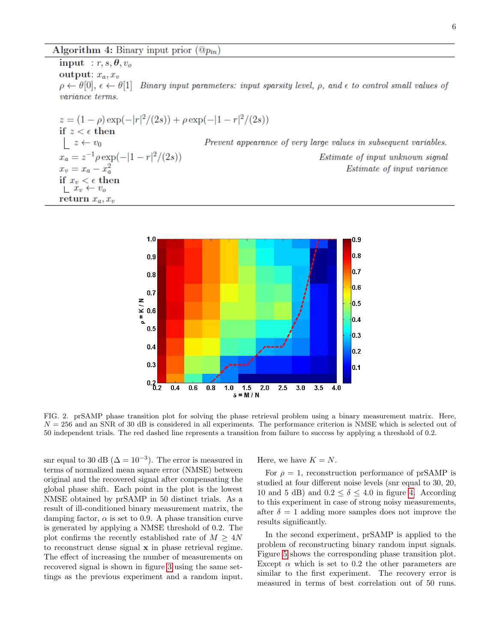input :  $r, s, \theta, v_o$ output:  $x_a, x_v$ Binary input parameters: input sparsity level,  $\rho$ , and  $\epsilon$  to control small values of  $\rho \leftarrow \theta[0], \epsilon \leftarrow \theta[1]$ *variance* terms.

$$
z = (1 - \rho) \exp(-|r|^2/(2s)) + \rho \exp(-|1 - r|^2/(2s))
$$
  
\nif  $z < \epsilon$  then  
\n
$$
\begin{array}{l}\nz \leftarrow v_0 \quad \text{Prevent appearance of very large values in subsequent variables.} \\
x_a = z^{-1} \rho \exp(-|1 - r|^2/(2s)) \quad \text{Estimate of input unknown signal} \\
x_v = x_a - x_a^2 \quad \text{Estimate of input variance} \\
\text{if } x_v < \epsilon \text{ then} \\
\begin{array}{l}\n\Box x_v \leftarrow v_o \\
\Box x_v \leftarrow v_o\n\end{array}\n\end{array}
$$



<span id="page-5-0"></span>FIG. 2. prSAMP phase transition plot for solving the phase retrieval problem using a binary measurement matrix. Here,  $N = 256$  and an SNR of 30 dB is considered in all experiments. The performance criterion is NMSE which is selected out of 50 independent trials. The red dashed line represents a transition from failure to success by applying a threshold of 0.2.

snr equal to 30 dB ( $\Delta = 10^{-3}$ ). The error is measured in terms of normalized mean square error (NMSE) between original and the recovered signal after compensating the global phase shift. Each point in the plot is the lowest NMSE obtained by prSAMP in 50 distinct trials. As a result of ill-conditioned binary measurement matrix, the damping factor,  $\alpha$  is set to 0.9. A phase transition curve is generated by applying a NMSE threshold of 0.2. The plot confirms the recently established rate of  $M \geq 4N$ to reconstruct dense signal x in phase retrieval regime. The effect of increasing the number of measurements on recovered signal is shown in figure [3](#page-6-0) using the same settings as the previous experiment and a random input.

Here, we have  $K = N$ .

For  $\rho = 1$ , reconstruction performance of prSAMP is studied at four different noise levels (snr equal to 30, 20, 10 and 5 dB) and  $0.2 < \delta < 4.0$  $0.2 < \delta < 4.0$  $0.2 < \delta < 4.0$  in figure 4. According to this experiment in case of strong noisy measurements, after  $\delta = 1$  adding more samples does not improve the results significantly.

In the second experiment, prSAMP is applied to the problem of reconstructing binary random input signals. Figure [5](#page-7-0) shows the corresponding phase transition plot. Except  $\alpha$  which is set to 0.2 the other parameters are similar to the first experiment. The recovery error is measured in terms of best correlation out of 50 runs.

Estimate of input unknown signal

*Estimate of input variance*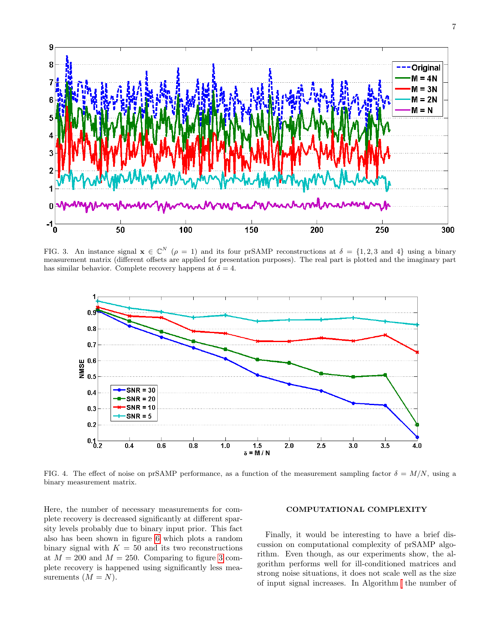

<span id="page-6-0"></span>FIG. 3. An instance signal  $\mathbf{x} \in \mathbb{C}^N$  ( $\rho = 1$ ) and its four prSAMP reconstructions at  $\delta = \{1, 2, 3 \text{ and } 4\}$  using a binary measurement matrix (different offsets are applied for presentation purposes). The real part is plotted and the imaginary part has similar behavior. Complete recovery happens at  $\delta = 4$ .



<span id="page-6-1"></span>FIG. 4. The effect of noise on prSAMP performance, as a function of the measurement sampling factor  $\delta = M/N$ , using a binary measurement matrix.

Here, the number of necessary measurements for complete recovery is decreased significantly at different sparsity levels probably due to binary input prior. This fact also has been shown in figure [6](#page-7-1) which plots a random binary signal with  $K = 50$  and its two reconstructions at  $M = 200$  and  $M = 250$ . Comparing to figure [3](#page-6-0) complete recovery is happened using significantly less measurements  $(M = N)$ .

# COMPUTATIONAL COMPLEXITY

Finally, it would be interesting to have a brief discussion on computational complexity of prSAMP algorithm. Even though, as our experiments show, the algorithm performs well for ill-conditioned matrices and strong noise situations, it does not scale well as the size of input signal increases. In Algorithm the number of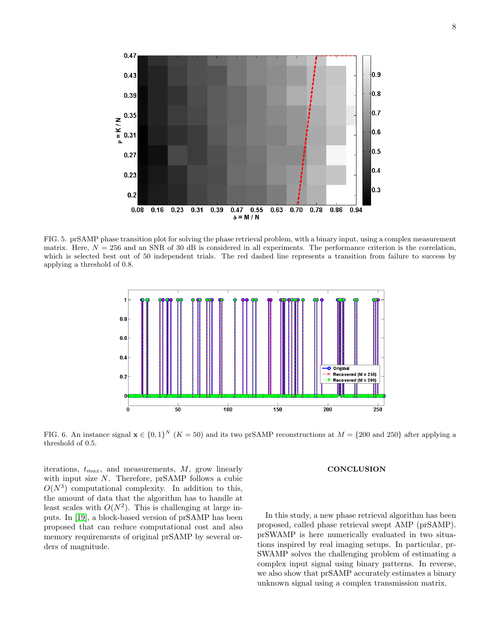

<span id="page-7-0"></span>FIG. 5. prSAMP phase transition plot for solving the phase retrieval problem, with a binary input, using a complex measurement matrix. Here,  $N = 256$  and an SNR of 30 dB is considered in all experiments. The performance criterion is the correlation, which is selected best out of 50 independent trials. The red dashed line represents a transition from failure to success by applying a threshold of 0.8.



<span id="page-7-1"></span>FIG. 6. An instance signal  $\mathbf{x} \in \{0,1\}^N$  (K = 50) and its two prSAMP reconstructions at  $M = \{200 \text{ and } 250\}$  after applying a threshold of 0.5.

iterations,  $t_{max}$ , and measurements,  $M$ , grow linearly with input size N. Therefore, prSAMP follows a cubic  $O(N^3)$  computational complexity. In addition to this, the amount of data that the algorithm has to handle at least scales with  $O(N^2)$ . This is challenging at large inputs. In [\[19\]](#page-8-24), a block-based version of prSAMP has been proposed that can reduce computational cost and also memory requirements of original prSAMP by several orders of magnitude.

### **CONCLUSION**

In this study, a new phase retrieval algorithm has been proposed, called phase retrieval swept AMP (prSAMP). prSWAMP is here numerically evaluated in two situations inspired by real imaging setups. In particular, pr-SWAMP solves the challenging problem of estimating a complex input signal using binary patterns. In reverse, we also show that prSAMP accurately estimates a binary unknown signal using a complex transmission matrix.